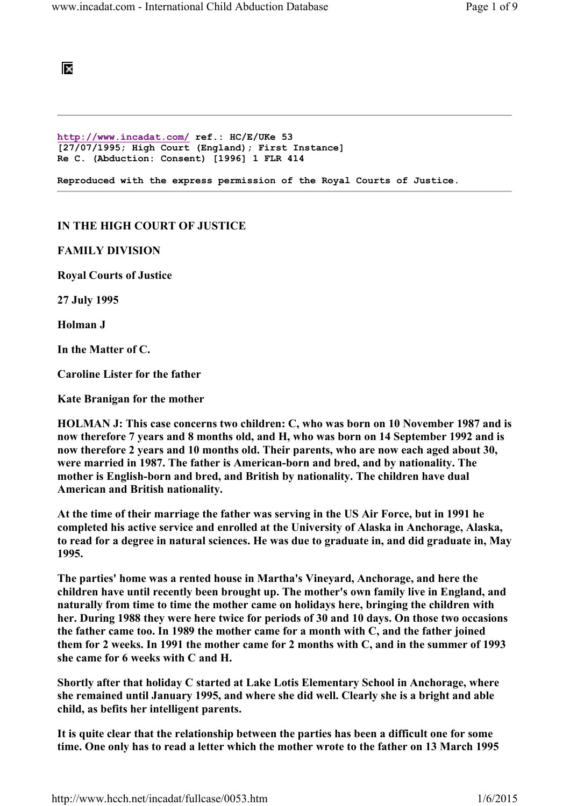

http://www.incadat.com/ ref.: HC/E/UKe 53 [27/07/1995; High Court (England); First Instance] Re C. (Abduction: Consent) [1996] 1 FLR 414

Reproduced with the express permission of the Royal Courts of Justice.

## IN THE HIGH COURT OF JUSTICE

FAMILY DIVISION

Royal Courts of Justice

27 July 1995

Holman J

In the Matter of C.

Caroline Lister for the father

Kate Branigan for the mother

HOLMAN J: This case concerns two children: C, who was born on 10 November 1987 and is now therefore 7 years and 8 months old, and H, who was born on 14 September 1992 and is now therefore 2 years and 10 months old. Their parents, who are now each aged about 30, were married in 1987. The father is American-born and bred, and by nationality. The mother is English-born and bred, and British by nationality. The children have dual American and British nationality.

At the time of their marriage the father was serving in the US Air Force, but in 1991 he completed his active service and enrolled at the University of Alaska in Anchorage, Alaska, to read for a degree in natural sciences. He was due to graduate in, and did graduate in, May 1995.

The parties' home was a rented house in Martha's Vineyard, Anchorage, and here the children have until recently been brought up. The mother's own family live in England, and naturally from time to time the mother came on holidays here, bringing the children with her. During 1988 they were here twice for periods of 30 and 10 days. On those two occasions the father came too. In 1989 the mother came for a month with C, and the father joined them for 2 weeks. In 1991 the mother came for 2 months with C, and in the summer of 1993 she came for 6 weeks with C and H.

Shortly after that holiday C started at Lake Lotis Elementary School in Anchorage, where she remained until January 1995, and where she did well. Clearly she is a bright and able child, as befits her intelligent parents.

It is quite clear that the relationship between the parties has been a difficult one for some time. One only has to read a letter which the mother wrote to the father on 13 March 1995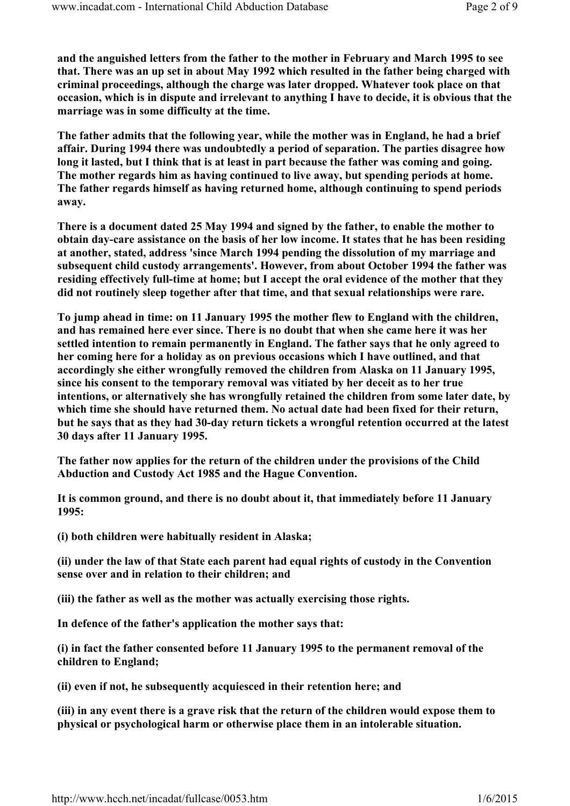and the anguished letters from the father to the mother in February and March 1995 to see that. There was an up set in about May 1992 which resulted in the father being charged with criminal proceedings, although the charge was later dropped. Whatever took place on that occasion, which is in dispute and irrelevant to anything I have to decide, it is obvious that the marriage was in some difficulty at the time.

The father admits that the following year, while the mother was in England, he had a brief affair. During 1994 there was undoubtedly a period of separation. The parties disagree how long it lasted, but I think that is at least in part because the father was coming and going. The mother regards him as having continued to live away, but spending periods at home. The father regards himself as having returned home, although continuing to spend periods away.

There is a document dated 25 May 1994 and signed by the father, to enable the mother to obtain day-care assistance on the basis of her low income. It states that he has been residing at another, stated, address 'since March 1994 pending the dissolution of my marriage and subsequent child custody arrangements'. However, from about October 1994 the father was residing effectively full-time at home; but I accept the oral evidence of the mother that they did not routinely sleep together after that time, and that sexual relationships were rare.

To jump ahead in time: on 11 January 1995 the mother flew to England with the children, and has remained here ever since. There is no doubt that when she came here it was her settled intention to remain permanently in England. The father says that he only agreed to her coming here for a holiday as on previous occasions which I have outlined, and that accordingly she either wrongfully removed the children from Alaska on 11 January 1995, since his consent to the temporary removal was vitiated by her deceit as to her true intentions, or alternatively she has wrongfully retained the children from some later date, by which time she should have returned them. No actual date had been fixed for their return, but he says that as they had 30-day return tickets a wrongful retention occurred at the latest 30 days after 11 January 1995.

The father now applies for the return of the children under the provisions of the Child Abduction and Custody Act 1985 and the Hague Convention.

It is common ground, and there is no doubt about it, that immediately before 11 January 1995:

(i) both children were habitually resident in Alaska;

(ii) under the law of that State each parent had equal rights of custody in the Convention sense over and in relation to their children; and

(iii) the father as well as the mother was actually exercising those rights.

In defence of the father's application the mother says that:

(i) in fact the father consented before 11 January 1995 to the permanent removal of the children to England;

(ii) even if not, he subsequently acquiesced in their retention here; and

(iii) in any event there is a grave risk that the return of the children would expose them to physical or psychological harm or otherwise place them in an intolerable situation.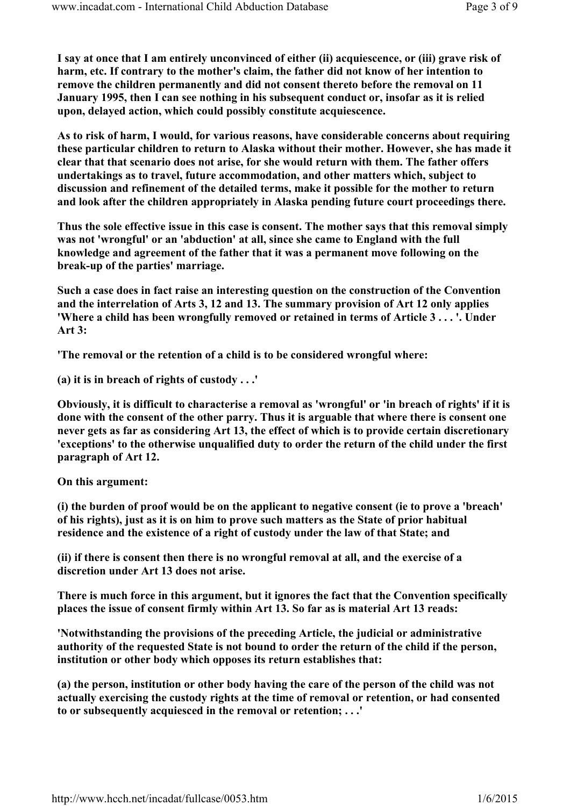I say at once that I am entirely unconvinced of either (ii) acquiescence, or (iii) grave risk of harm, etc. If contrary to the mother's claim, the father did not know of her intention to remove the children permanently and did not consent thereto before the removal on 11 January 1995, then I can see nothing in his subsequent conduct or, insofar as it is relied upon, delayed action, which could possibly constitute acquiescence.

As to risk of harm, I would, for various reasons, have considerable concerns about requiring these particular children to return to Alaska without their mother. However, she has made it clear that that scenario does not arise, for she would return with them. The father offers undertakings as to travel, future accommodation, and other matters which, subject to discussion and refinement of the detailed terms, make it possible for the mother to return and look after the children appropriately in Alaska pending future court proceedings there.

Thus the sole effective issue in this case is consent. The mother says that this removal simply was not 'wrongful' or an 'abduction' at all, since she came to England with the full knowledge and agreement of the father that it was a permanent move following on the break-up of the parties' marriage.

Such a case does in fact raise an interesting question on the construction of the Convention and the interrelation of Arts 3, 12 and 13. The summary provision of Art 12 only applies 'Where a child has been wrongfully removed or retained in terms of Article 3 . . . '. Under Art 3:

'The removal or the retention of a child is to be considered wrongful where:

(a) it is in breach of rights of custody . . .'

Obviously, it is difficult to characterise a removal as 'wrongful' or 'in breach of rights' if it is done with the consent of the other parry. Thus it is arguable that where there is consent one never gets as far as considering Art 13, the effect of which is to provide certain discretionary 'exceptions' to the otherwise unqualified duty to order the return of the child under the first paragraph of Art 12.

On this argument:

(i) the burden of proof would be on the applicant to negative consent (ie to prove a 'breach' of his rights), just as it is on him to prove such matters as the State of prior habitual residence and the existence of a right of custody under the law of that State; and

(ii) if there is consent then there is no wrongful removal at all, and the exercise of a discretion under Art 13 does not arise.

There is much force in this argument, but it ignores the fact that the Convention specifically places the issue of consent firmly within Art 13. So far as is material Art 13 reads:

'Notwithstanding the provisions of the preceding Article, the judicial or administrative authority of the requested State is not bound to order the return of the child if the person, institution or other body which opposes its return establishes that:

(a) the person, institution or other body having the care of the person of the child was not actually exercising the custody rights at the time of removal or retention, or had consented to or subsequently acquiesced in the removal or retention; . . .'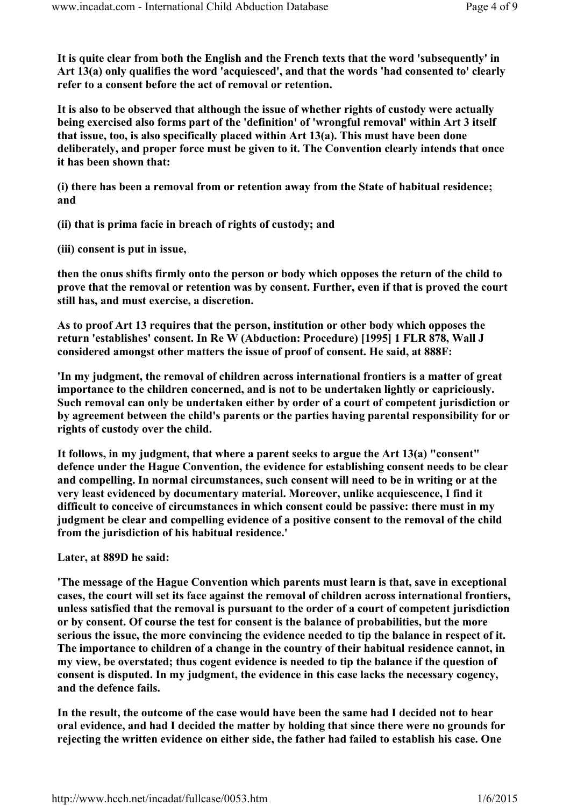It is quite clear from both the English and the French texts that the word 'subsequently' in Art 13(a) only qualifies the word 'acquiesced', and that the words 'had consented to' clearly refer to a consent before the act of removal or retention.

It is also to be observed that although the issue of whether rights of custody were actually being exercised also forms part of the 'definition' of 'wrongful removal' within Art 3 itself that issue, too, is also specifically placed within Art 13(a). This must have been done deliberately, and proper force must be given to it. The Convention clearly intends that once it has been shown that:

(i) there has been a removal from or retention away from the State of habitual residence; and

(ii) that is prima facie in breach of rights of custody; and

(iii) consent is put in issue,

then the onus shifts firmly onto the person or body which opposes the return of the child to prove that the removal or retention was by consent. Further, even if that is proved the court still has, and must exercise, a discretion.

As to proof Art 13 requires that the person, institution or other body which opposes the return 'establishes' consent. In Re W (Abduction: Procedure) [1995] 1 FLR 878, Wall J considered amongst other matters the issue of proof of consent. He said, at 888F:

'In my judgment, the removal of children across international frontiers is a matter of great importance to the children concerned, and is not to be undertaken lightly or capriciously. Such removal can only be undertaken either by order of a court of competent jurisdiction or by agreement between the child's parents or the parties having parental responsibility for or rights of custody over the child.

It follows, in my judgment, that where a parent seeks to argue the Art 13(a) "consent" defence under the Hague Convention, the evidence for establishing consent needs to be clear and compelling. In normal circumstances, such consent will need to be in writing or at the very least evidenced by documentary material. Moreover, unlike acquiescence, I find it difficult to conceive of circumstances in which consent could be passive: there must in my judgment be clear and compelling evidence of a positive consent to the removal of the child from the jurisdiction of his habitual residence.'

Later, at 889D he said:

'The message of the Hague Convention which parents must learn is that, save in exceptional cases, the court will set its face against the removal of children across international frontiers, unless satisfied that the removal is pursuant to the order of a court of competent jurisdiction or by consent. Of course the test for consent is the balance of probabilities, but the more serious the issue, the more convincing the evidence needed to tip the balance in respect of it. The importance to children of a change in the country of their habitual residence cannot, in my view, be overstated; thus cogent evidence is needed to tip the balance if the question of consent is disputed. In my judgment, the evidence in this case lacks the necessary cogency, and the defence fails.

In the result, the outcome of the case would have been the same had I decided not to hear oral evidence, and had I decided the matter by holding that since there were no grounds for rejecting the written evidence on either side, the father had failed to establish his case. One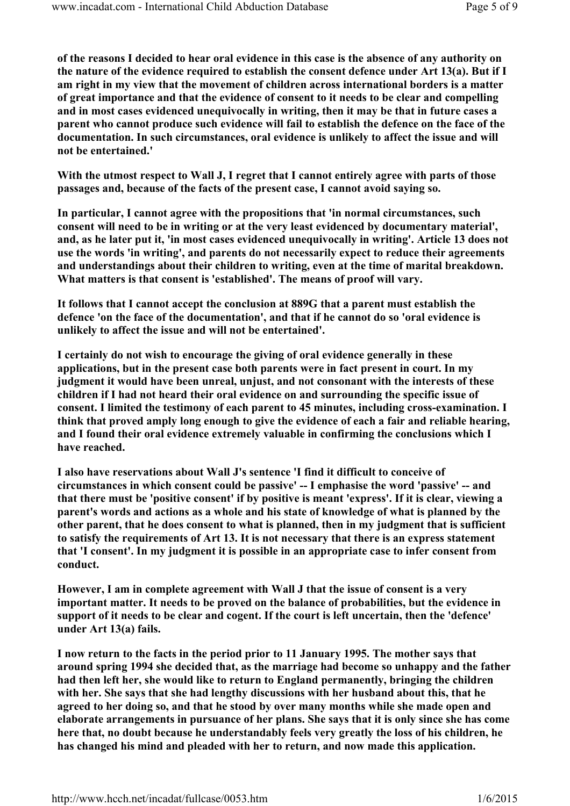of the reasons I decided to hear oral evidence in this case is the absence of any authority on the nature of the evidence required to establish the consent defence under Art 13(a). But if I am right in my view that the movement of children across international borders is a matter of great importance and that the evidence of consent to it needs to be clear and compelling and in most cases evidenced unequivocally in writing, then it may be that in future cases a parent who cannot produce such evidence will fail to establish the defence on the face of the documentation. In such circumstances, oral evidence is unlikely to affect the issue and will not be entertained.'

With the utmost respect to Wall J, I regret that I cannot entirely agree with parts of those passages and, because of the facts of the present case, I cannot avoid saying so.

In particular, I cannot agree with the propositions that 'in normal circumstances, such consent will need to be in writing or at the very least evidenced by documentary material', and, as he later put it, 'in most cases evidenced unequivocally in writing'. Article 13 does not use the words 'in writing', and parents do not necessarily expect to reduce their agreements and understandings about their children to writing, even at the time of marital breakdown. What matters is that consent is 'established'. The means of proof will vary.

It follows that I cannot accept the conclusion at 889G that a parent must establish the defence 'on the face of the documentation', and that if he cannot do so 'oral evidence is unlikely to affect the issue and will not be entertained'.

I certainly do not wish to encourage the giving of oral evidence generally in these applications, but in the present case both parents were in fact present in court. In my judgment it would have been unreal, unjust, and not consonant with the interests of these children if I had not heard their oral evidence on and surrounding the specific issue of consent. I limited the testimony of each parent to 45 minutes, including cross-examination. I think that proved amply long enough to give the evidence of each a fair and reliable hearing, and I found their oral evidence extremely valuable in confirming the conclusions which I have reached.

I also have reservations about Wall J's sentence 'I find it difficult to conceive of circumstances in which consent could be passive' -- I emphasise the word 'passive' -- and that there must be 'positive consent' if by positive is meant 'express'. If it is clear, viewing a parent's words and actions as a whole and his state of knowledge of what is planned by the other parent, that he does consent to what is planned, then in my judgment that is sufficient to satisfy the requirements of Art 13. It is not necessary that there is an express statement that 'I consent'. In my judgment it is possible in an appropriate case to infer consent from conduct.

However, I am in complete agreement with Wall J that the issue of consent is a very important matter. It needs to be proved on the balance of probabilities, but the evidence in support of it needs to be clear and cogent. If the court is left uncertain, then the 'defence' under Art 13(a) fails.

I now return to the facts in the period prior to 11 January 1995. The mother says that around spring 1994 she decided that, as the marriage had become so unhappy and the father had then left her, she would like to return to England permanently, bringing the children with her. She says that she had lengthy discussions with her husband about this, that he agreed to her doing so, and that he stood by over many months while she made open and elaborate arrangements in pursuance of her plans. She says that it is only since she has come here that, no doubt because he understandably feels very greatly the loss of his children, he has changed his mind and pleaded with her to return, and now made this application.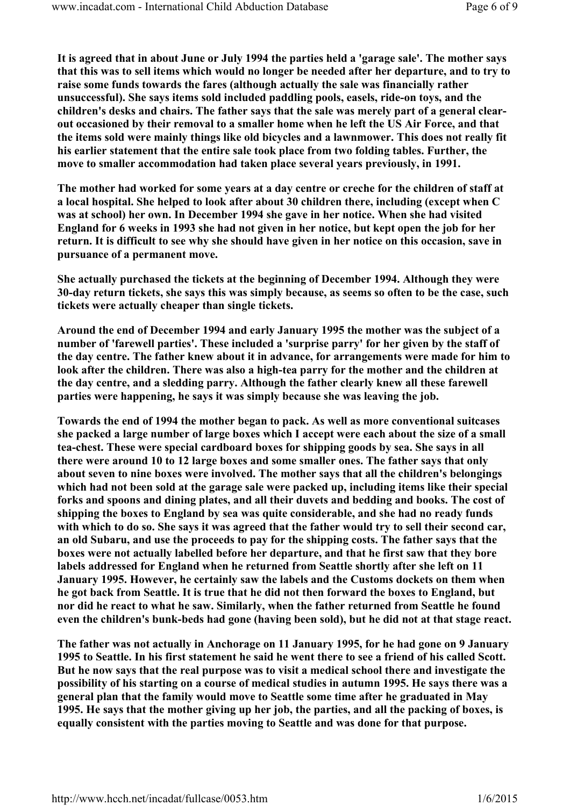It is agreed that in about June or July 1994 the parties held a 'garage sale'. The mother says that this was to sell items which would no longer be needed after her departure, and to try to raise some funds towards the fares (although actually the sale was financially rather unsuccessful). She says items sold included paddling pools, easels, ride-on toys, and the children's desks and chairs. The father says that the sale was merely part of a general clearout occasioned by their removal to a smaller home when he left the US Air Force, and that the items sold were mainly things like old bicycles and a lawnmower. This does not really fit his earlier statement that the entire sale took place from two folding tables. Further, the move to smaller accommodation had taken place several years previously, in 1991.

The mother had worked for some years at a day centre or creche for the children of staff at a local hospital. She helped to look after about 30 children there, including (except when C was at school) her own. In December 1994 she gave in her notice. When she had visited England for 6 weeks in 1993 she had not given in her notice, but kept open the job for her return. It is difficult to see why she should have given in her notice on this occasion, save in pursuance of a permanent move.

She actually purchased the tickets at the beginning of December 1994. Although they were 30-day return tickets, she says this was simply because, as seems so often to be the case, such tickets were actually cheaper than single tickets.

Around the end of December 1994 and early January 1995 the mother was the subject of a number of 'farewell parties'. These included a 'surprise parry' for her given by the staff of the day centre. The father knew about it in advance, for arrangements were made for him to look after the children. There was also a high-tea parry for the mother and the children at the day centre, and a sledding parry. Although the father clearly knew all these farewell parties were happening, he says it was simply because she was leaving the job.

Towards the end of 1994 the mother began to pack. As well as more conventional suitcases she packed a large number of large boxes which I accept were each about the size of a small tea-chest. These were special cardboard boxes for shipping goods by sea. She says in all there were around 10 to 12 large boxes and some smaller ones. The father says that only about seven to nine boxes were involved. The mother says that all the children's belongings which had not been sold at the garage sale were packed up, including items like their special forks and spoons and dining plates, and all their duvets and bedding and books. The cost of shipping the boxes to England by sea was quite considerable, and she had no ready funds with which to do so. She says it was agreed that the father would try to sell their second car, an old Subaru, and use the proceeds to pay for the shipping costs. The father says that the boxes were not actually labelled before her departure, and that he first saw that they bore labels addressed for England when he returned from Seattle shortly after she left on 11 January 1995. However, he certainly saw the labels and the Customs dockets on them when he got back from Seattle. It is true that he did not then forward the boxes to England, but nor did he react to what he saw. Similarly, when the father returned from Seattle he found even the children's bunk-beds had gone (having been sold), but he did not at that stage react.

The father was not actually in Anchorage on 11 January 1995, for he had gone on 9 January 1995 to Seattle. In his first statement he said he went there to see a friend of his called Scott. But he now says that the real purpose was to visit a medical school there and investigate the possibility of his starting on a course of medical studies in autumn 1995. He says there was a general plan that the family would move to Seattle some time after he graduated in May 1995. He says that the mother giving up her job, the parties, and all the packing of boxes, is equally consistent with the parties moving to Seattle and was done for that purpose.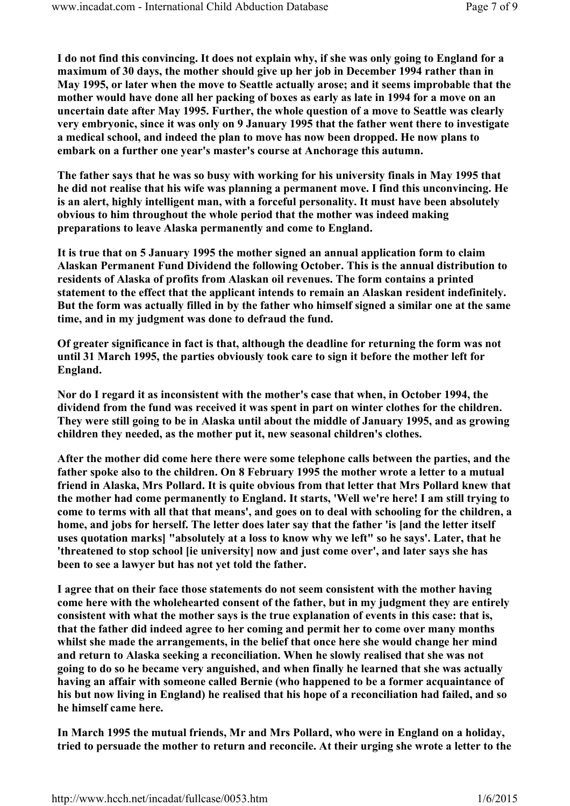I do not find this convincing. It does not explain why, if she was only going to England for a maximum of 30 days, the mother should give up her job in December 1994 rather than in May 1995, or later when the move to Seattle actually arose; and it seems improbable that the mother would have done all her packing of boxes as early as late in 1994 for a move on an uncertain date after May 1995. Further, the whole question of a move to Seattle was clearly very embryonic, since it was only on 9 January 1995 that the father went there to investigate a medical school, and indeed the plan to move has now been dropped. He now plans to embark on a further one year's master's course at Anchorage this autumn.

The father says that he was so busy with working for his university finals in May 1995 that he did not realise that his wife was planning a permanent move. I find this unconvincing. He is an alert, highly intelligent man, with a forceful personality. It must have been absolutely obvious to him throughout the whole period that the mother was indeed making preparations to leave Alaska permanently and come to England.

It is true that on 5 January 1995 the mother signed an annual application form to claim Alaskan Permanent Fund Dividend the following October. This is the annual distribution to residents of Alaska of profits from Alaskan oil revenues. The form contains a printed statement to the effect that the applicant intends to remain an Alaskan resident indefinitely. But the form was actually filled in by the father who himself signed a similar one at the same time, and in my judgment was done to defraud the fund.

Of greater significance in fact is that, although the deadline for returning the form was not until 31 March 1995, the parties obviously took care to sign it before the mother left for England.

Nor do I regard it as inconsistent with the mother's case that when, in October 1994, the dividend from the fund was received it was spent in part on winter clothes for the children. They were still going to be in Alaska until about the middle of January 1995, and as growing children they needed, as the mother put it, new seasonal children's clothes.

After the mother did come here there were some telephone calls between the parties, and the father spoke also to the children. On 8 February 1995 the mother wrote a letter to a mutual friend in Alaska, Mrs Pollard. It is quite obvious from that letter that Mrs Pollard knew that the mother had come permanently to England. It starts, 'Well we're here! I am still trying to come to terms with all that that means', and goes on to deal with schooling for the children, a home, and jobs for herself. The letter does later say that the father 'is [and the letter itself uses quotation marks] "absolutely at a loss to know why we left" so he says'. Later, that he 'threatened to stop school [ie university] now and just come over', and later says she has been to see a lawyer but has not yet told the father.

I agree that on their face those statements do not seem consistent with the mother having come here with the wholehearted consent of the father, but in my judgment they are entirely consistent with what the mother says is the true explanation of events in this case: that is, that the father did indeed agree to her coming and permit her to come over many months whilst she made the arrangements, in the belief that once here she would change her mind and return to Alaska seeking a reconciliation. When he slowly realised that she was not going to do so he became very anguished, and when finally he learned that she was actually having an affair with someone called Bernie (who happened to be a former acquaintance of his but now living in England) he realised that his hope of a reconciliation had failed, and so he himself came here.

In March 1995 the mutual friends, Mr and Mrs Pollard, who were in England on a holiday, tried to persuade the mother to return and reconcile. At their urging she wrote a letter to the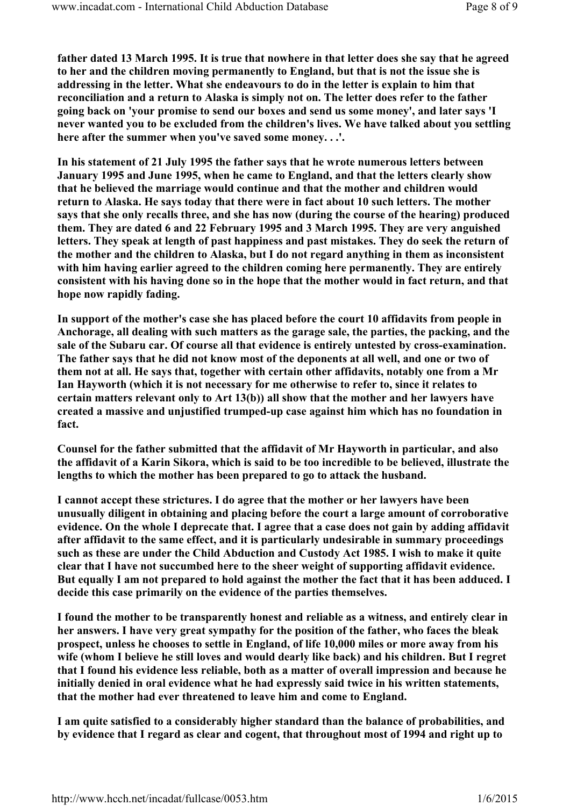father dated 13 March 1995. It is true that nowhere in that letter does she say that he agreed to her and the children moving permanently to England, but that is not the issue she is addressing in the letter. What she endeavours to do in the letter is explain to him that reconciliation and a return to Alaska is simply not on. The letter does refer to the father going back on 'your promise to send our boxes and send us some money', and later says 'I never wanted you to be excluded from the children's lives. We have talked about you settling here after the summer when you've saved some money. . .'.

In his statement of 21 July 1995 the father says that he wrote numerous letters between January 1995 and June 1995, when he came to England, and that the letters clearly show that he believed the marriage would continue and that the mother and children would return to Alaska. He says today that there were in fact about 10 such letters. The mother says that she only recalls three, and she has now (during the course of the hearing) produced them. They are dated 6 and 22 February 1995 and 3 March 1995. They are very anguished letters. They speak at length of past happiness and past mistakes. They do seek the return of the mother and the children to Alaska, but I do not regard anything in them as inconsistent with him having earlier agreed to the children coming here permanently. They are entirely consistent with his having done so in the hope that the mother would in fact return, and that hope now rapidly fading.

In support of the mother's case she has placed before the court 10 affidavits from people in Anchorage, all dealing with such matters as the garage sale, the parties, the packing, and the sale of the Subaru car. Of course all that evidence is entirely untested by cross-examination. The father says that he did not know most of the deponents at all well, and one or two of them not at all. He says that, together with certain other affidavits, notably one from a Mr Ian Hayworth (which it is not necessary for me otherwise to refer to, since it relates to certain matters relevant only to Art 13(b)) all show that the mother and her lawyers have created a massive and unjustified trumped-up case against him which has no foundation in fact.

Counsel for the father submitted that the affidavit of Mr Hayworth in particular, and also the affidavit of a Karin Sikora, which is said to be too incredible to be believed, illustrate the lengths to which the mother has been prepared to go to attack the husband.

I cannot accept these strictures. I do agree that the mother or her lawyers have been unusually diligent in obtaining and placing before the court a large amount of corroborative evidence. On the whole I deprecate that. I agree that a case does not gain by adding affidavit after affidavit to the same effect, and it is particularly undesirable in summary proceedings such as these are under the Child Abduction and Custody Act 1985. I wish to make it quite clear that I have not succumbed here to the sheer weight of supporting affidavit evidence. But equally I am not prepared to hold against the mother the fact that it has been adduced. I decide this case primarily on the evidence of the parties themselves.

I found the mother to be transparently honest and reliable as a witness, and entirely clear in her answers. I have very great sympathy for the position of the father, who faces the bleak prospect, unless he chooses to settle in England, of life 10,000 miles or more away from his wife (whom I believe he still loves and would dearly like back) and his children. But I regret that I found his evidence less reliable, both as a matter of overall impression and because he initially denied in oral evidence what he had expressly said twice in his written statements, that the mother had ever threatened to leave him and come to England.

I am quite satisfied to a considerably higher standard than the balance of probabilities, and by evidence that I regard as clear and cogent, that throughout most of 1994 and right up to